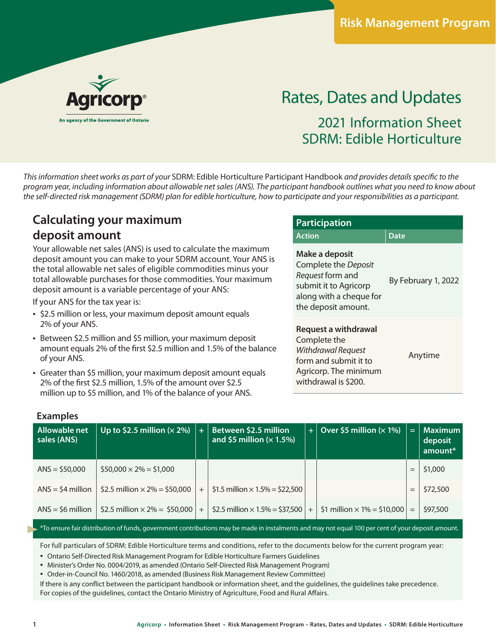

# Rates, Dates and Updates 2021 Information Sheet SDRM: Edible Horticulture

*This information sheet works as part of your* SDRM: Edible Horticulture Participant Handbook *and provides details specific to the program year, including information about allowable net sales (ANS). The participant handbook outlines what you need to know about the self-directed risk management (SDRM) plan for edible horticulture, how to participate and your responsibilities as a participant.* 

# **Calculating your maximum deposit amount**

Your allowable net sales (ANS) is used to calculate the maximum deposit amount you can make to your SDRM account. Your ANS is the total allowable net sales of eligible commodities minus your total allowable purchases for those commodities. Your maximum deposit amount is a variable percentage of your ANS:

If your ANS for the tax year is:

- \$2.5 million or less, your maximum deposit amount equals 2% of your ANS.
- Between \$2.5 million and \$5 million, your maximum deposit amount equals 2% of the first \$2.5 million and 1.5% of the balance of your ANS.
- Greater than \$5 million, your maximum deposit amount equals 2% of the first \$2.5 million, 1.5% of the amount over \$2.5 million up to \$5 million, and 1% of the balance of your ANS.

| <b>Participation</b>                                                                                                                  |                     |  |  |  |  |  |  |
|---------------------------------------------------------------------------------------------------------------------------------------|---------------------|--|--|--|--|--|--|
| <b>Action</b>                                                                                                                         | <b>Date</b>         |  |  |  |  |  |  |
| Make a deposit<br>Complete the Deposit<br>Request form and<br>submit it to Agricorp<br>along with a cheque for<br>the deposit amount. | By February 1, 2022 |  |  |  |  |  |  |
| Request a withdrawal<br>Complete the<br>Withdrawal Request<br>form and submit it to<br>Agricorp. The minimum<br>withdrawal is \$200.  | Anytime             |  |  |  |  |  |  |

#### **Examples**

| Allowable net<br>sales (ANS) | Up to \$2.5 million $(x 2%)$         | $\ddot{}$ | Between \$2.5 million<br>and \$5 million $(x 1.5%)$ | Œ.  | Over \$5 million ( $\times$ 1%)     | Ξ   | <b>Maximum</b><br>deposit<br>amount* |
|------------------------------|--------------------------------------|-----------|-----------------------------------------------------|-----|-------------------------------------|-----|--------------------------------------|
| $ANS = $50,000$              | $$50,000 \times 2\% = $1,000$        |           |                                                     |     |                                     |     | \$1,000                              |
| $ANS = $4$ million           | \$2.5 million $\times$ 2% = \$50,000 | $+$       | \$1.5 million $\times$ 1.5% = \$22,500              |     |                                     | $=$ | \$72,500                             |
| $ANS = 56$ million           | \$2.5 million $\times$ 2% = \$50,000 | $+$       | \$2.5 million $\times$ 1.5% = \$37,500              | $+$ | $$1$ million $\times$ 1% = \$10,000 | $=$ | \$97,500                             |
|                              |                                      |           |                                                     |     |                                     |     |                                      |

To ensure fair distribution of funds, government contributions may be made in instalments and may not equal 100 per cent of your deposit amount.

For full particulars of SDRM: Edible Horticulture terms and conditions, refer to the documents below for the current program year:

• Ontario Self-Directed Risk Management Program for Edible Horticulture Farmers Guidelines

• Minister's Order No. 0004/2019, as amended (Ontario Self-Directed Risk Management Program)

• Order-in-Council No. 1460/2018, as amended (Business Risk Management Review Committee)

If there is any conflict between the participant handbook or information sheet, and the guidelines, the guidelines take precedence. For copies of the guidelines, contact the Ontario Ministry of Agriculture, Food and Rural Affairs.